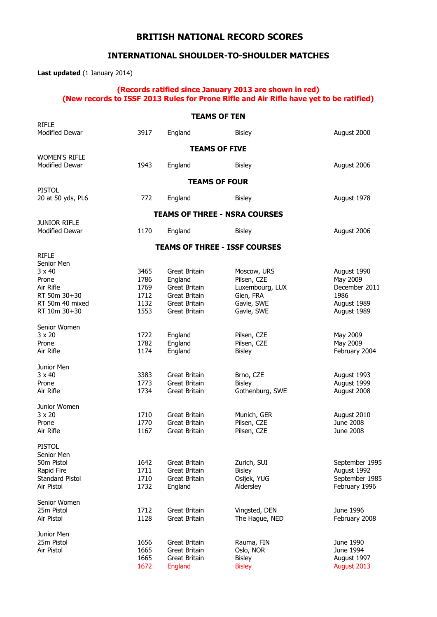## **BRITISH NATIONAL RECORD SCORES**

## **INTERNATIONAL SHOULDER-TO-SHOULDER MATCHES**

**Last updated** (1 January 2014)

#### **(Records ratified since January 2013 are shown in red) (New records to ISSF 2013 Rules for Prone Rifle and Air Rifle have yet to be ratified)**

|                                               |      | <b>TEAMS OF TEN</b>  |                                      |                |
|-----------------------------------------------|------|----------------------|--------------------------------------|----------------|
| <b>RIFLE</b><br><b>Modified Dewar</b>         | 3917 |                      |                                      |                |
|                                               |      | England              | <b>Bisley</b>                        | August 2000    |
|                                               |      |                      | <b>TEAMS OF FIVE</b>                 |                |
| <b>WOMEN'S RIFLE</b><br><b>Modified Dewar</b> | 1943 | England              | <b>Bisley</b>                        | August 2006    |
|                                               |      |                      | <b>TEAMS OF FOUR</b>                 |                |
| <b>PISTOL</b><br>20 at 50 yds, PL6            | 772  | England              | <b>Bisley</b>                        | August 1978    |
|                                               |      |                      | <b>TEAMS OF THREE - NSRA COURSES</b> |                |
| <b>JUNIOR RIFLE</b><br>Modified Dewar         | 1170 | England              | <b>Bisley</b>                        | August 2006    |
|                                               |      |                      |                                      |                |
| <b>RIFLE</b>                                  |      |                      | <b>TEAMS OF THREE - ISSF COURSES</b> |                |
| Senior Men                                    |      |                      |                                      |                |
| $3 \times 40$                                 | 3465 | Great Britain        | Moscow, URS                          | August 1990    |
| Prone                                         | 1786 | England              | Pilsen, CZE                          | May 2009       |
| Air Rifle                                     | 1769 | Great Britain        | Luxembourg, LUX                      | December 2011  |
| RT 50m 30+30                                  | 1712 | Great Britain        | Gien, FRA                            | 1986           |
| RT 50m 40 mixed                               | 1132 | Great Britain        | Gavle, SWE                           | August 1989    |
| RT 10m 30+30                                  | 1553 | Great Britain        | Gavle, SWE                           | August 1989    |
| Senior Women                                  |      |                      |                                      |                |
| $3 \times 20$                                 | 1722 | England              | Pilsen, CZE                          | May 2009       |
| Prone                                         | 1782 | England              | Pilsen, CZE                          | May 2009       |
| Air Rifle                                     | 1174 | England              | <b>Bisley</b>                        | February 2004  |
| Junior Men                                    |      |                      |                                      |                |
| $3 \times 40$                                 | 3383 | Great Britain        | Brno, CZE                            | August 1993    |
| Prone                                         | 1773 | Great Britain        | <b>Bisley</b>                        | August 1999    |
| Air Rifle                                     | 1734 | Great Britain        | Gothenburg, SWE                      | August 2008    |
| Junior Women                                  |      |                      |                                      |                |
| $3 \times 20$                                 | 1710 | <b>Great Britain</b> | Munich, GER                          | August 2010    |
| Prone                                         | 1770 | Great Britain        | Pilsen, CZE                          | June 2008      |
| Air Rifle                                     | 1167 | <b>Great Britain</b> | Pilsen, CZE                          | June 2008      |
| <b>PISTOL</b>                                 |      |                      |                                      |                |
| Senior Men                                    |      |                      |                                      |                |
| 50m Pistol                                    | 1642 | Great Britain        | Zurich, SUI                          | September 1995 |
| Rapid Fire                                    | 1711 | Great Britain        | <b>Bisley</b>                        | August 1992    |
| <b>Standard Pistol</b><br>Air Pistol          | 1710 | <b>Great Britain</b> | Osijek, YUG                          | September 1985 |
|                                               | 1732 | England              | Aldersley                            | February 1996  |
| Senior Women                                  |      |                      |                                      |                |
| 25m Pistol                                    | 1712 | Great Britain        | Vingsted, DEN                        | June 1996      |
| Air Pistol                                    | 1128 | <b>Great Britain</b> | The Hague, NED                       | February 2008  |
| Junior Men                                    |      |                      |                                      |                |
| 25m Pistol                                    | 1656 | Great Britain        | Rauma, FIN                           | June 1990      |
| Air Pistol                                    | 1665 | Great Britain        | Oslo, NOR                            | June 1994      |
|                                               | 1665 | Great Britain        | <b>Bisley</b>                        | August 1997    |
|                                               | 1672 | England              | <b>Bisley</b>                        | August 2013    |